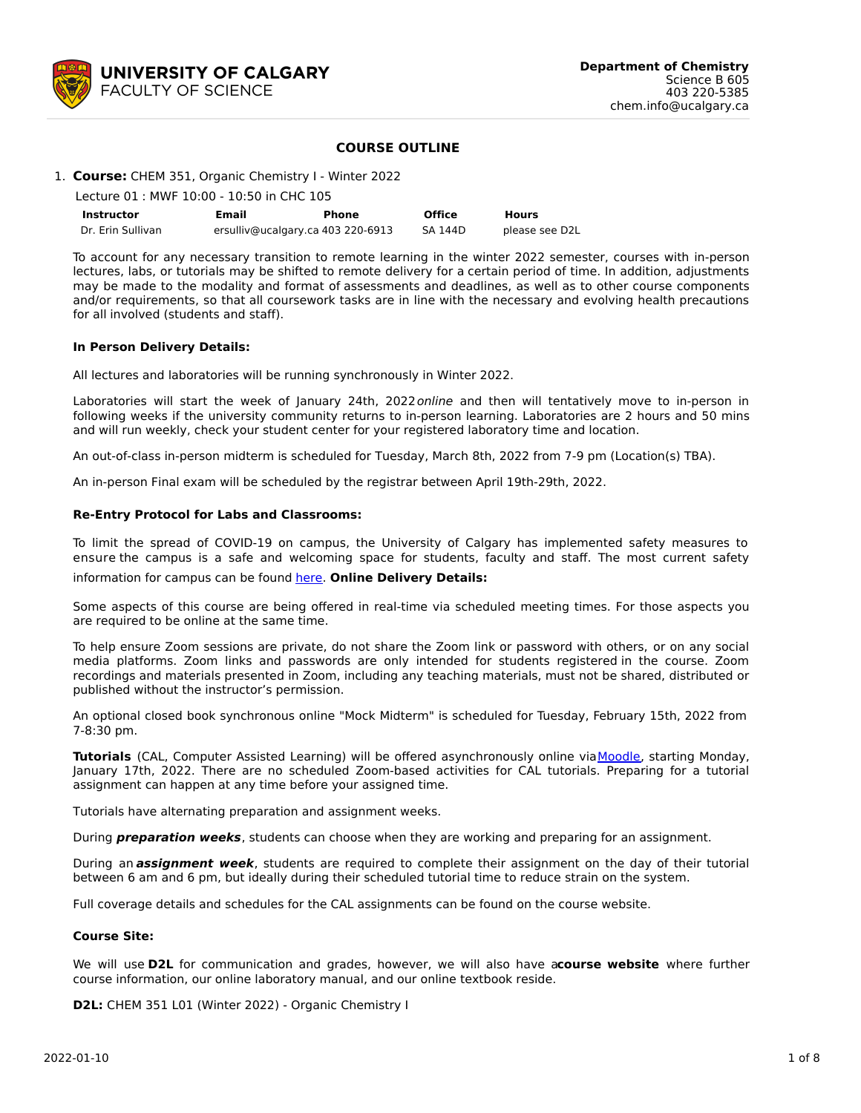

### **COURSE OUTLINE**

#### 1. **Course:** CHEM 351, Organic Chemistry I - Winter 2022

Lecture 01 : MWF 10:00 - 10:50 in CHC 105

| <b>Instructor</b> | Email                             | Phone | <b>Office</b> | Hours          |
|-------------------|-----------------------------------|-------|---------------|----------------|
| Dr. Erin Sullivan | ersulliv@ucalgary.ca 403 220-6913 |       | SA 144D       | please see D2L |

To account for any necessary transition to remote learning in the winter 2022 semester, courses with in-person lectures, labs, or tutorials may be shifted to remote delivery for a certain period of time. In addition, adjustments may be made to the modality and format of assessments and deadlines, as well as to other course components and/or requirements, so that all coursework tasks are in line with the necessary and evolving health precautions for all involved (students and staff).

#### **In Person Delivery Details:**

All lectures and laboratories will be running synchronously in Winter 2022.

Laboratories will start the week of January 24th, 2022 online and then will tentatively move to in-person in following weeks if the university community returns to in-person learning. Laboratories are 2 hours and 50 mins and will run weekly, check your student center for your registered laboratory time and location.

An out-of-class in-person midterm is scheduled for Tuesday, March 8th, 2022 from 7-9 pm (Location(s) TBA).

An in-person Final exam will be scheduled by the registrar between April 19th-29th, 2022.

### **Re-Entry Protocol for Labs and Classrooms:**

To limit the spread of COVID-19 on campus, the University of Calgary has implemented safety measures to ensure the campus is a safe and welcoming space for students, faculty and staff. The most current safety

information for campus can be found [here](https://www.ucalgary.ca/risk/emergency-management/covid-19-response/return-campus-safety). **Online Delivery Details:**

Some aspects of this course are being offered in real-time via scheduled meeting times. For those aspects you are required to be online at the same time.

To help ensure Zoom sessions are private, do not share the Zoom link or password with others, or on any social media platforms. Zoom links and passwords are only intended for students registered in the course. Zoom recordings and materials presented in Zoom, including any teaching materials, must not be shared, distributed or published without the instructor's permission.

An optional closed book synchronous online "Mock Midterm" is scheduled for Tuesday, February 15th, 2022 from 7-8:30 pm.

**Tutorials** (CAL, Computer Assisted Learning) will be offered asynchronously online via Moodle, starting Monday, January 17th, 2022. There are no scheduled Zoom-based activities for CAL tutorials. Preparing for a tutorial assignment can happen at any time before your assigned time.

Tutorials have alternating preparation and assignment weeks.

During **preparation weeks**, students can choose when they are working and preparing for an assignment.

During an **assignment week**, students are required to complete their assignment on the day of their tutorial between 6 am and 6 pm, but ideally during their scheduled tutorial time to reduce strain on the system.

Full coverage details and schedules for the CAL assignments can be found on the course website.

#### **Course Site:**

We will use **D2L** for communication and grades, however, we will also have a**course website** where further course information, our online laboratory manual, and our online textbook reside.

**D2L:** CHEM 351 L01 (Winter 2022) - Organic Chemistry I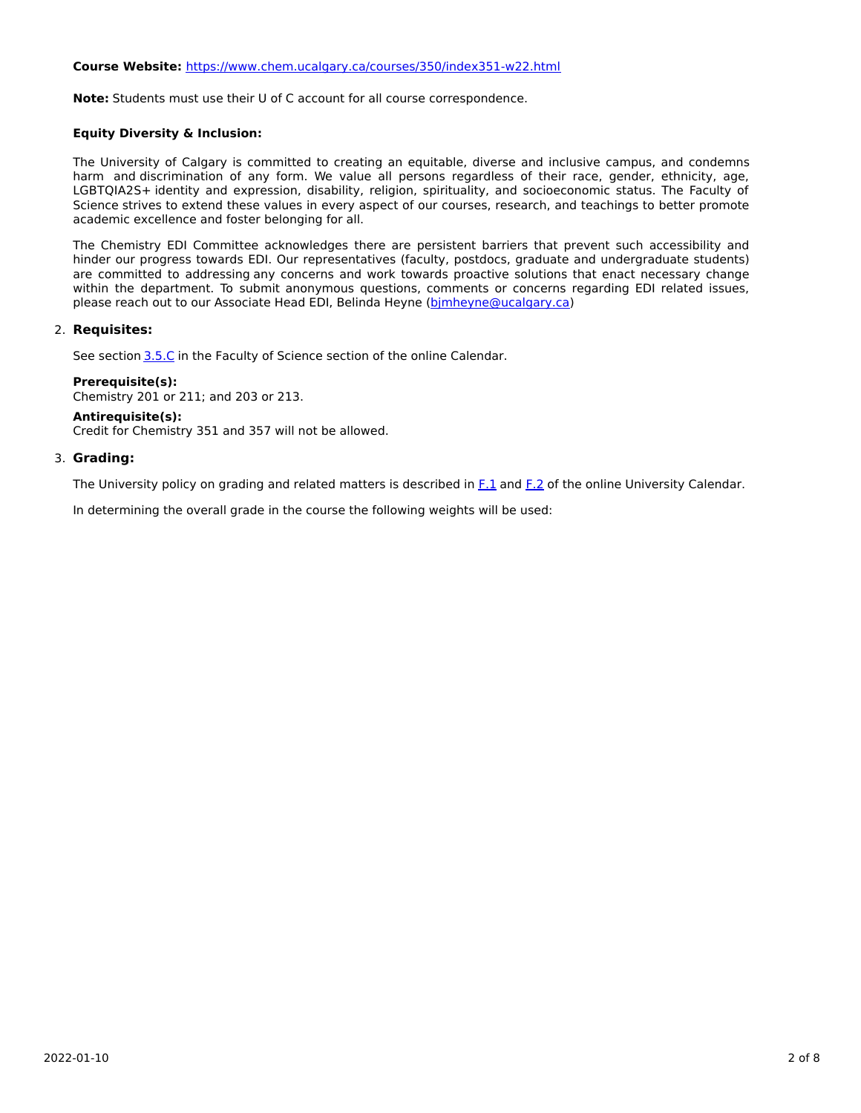# **Course Website:** <https://www.chem.ucalgary.ca/courses/350/index351-w22.html>

**Note:** Students must use their U of C account for all course correspondence.

## **Equity Diversity & Inclusion:**

The University of Calgary is committed to creating an equitable, diverse and inclusive campus, and condemns harm and discrimination of any form. We value all persons regardless of their race, gender, ethnicity, age, LGBTQIA2S+ identity and expression, disability, religion, spirituality, and socioeconomic status. The Faculty of Science strives to extend these values in every aspect of our courses, research, and teachings to better promote academic excellence and foster belonging for all.

The Chemistry EDI Committee acknowledges there are persistent barriers that prevent such accessibility and hinder our progress towards EDI. Our representatives (faculty, postdocs, graduate and undergraduate students) are committed to addressing any concerns and work towards proactive solutions that enact necessary change within the department. To submit anonymous questions, comments or concerns regarding EDI related issues, please reach out to our Associate Head EDI, Belinda Heyne (bimheyne@ucalgary.ca)

## 2. **Requisites:**

See section [3.5.C](http://www.ucalgary.ca/pubs/calendar/current/sc-3-5.html) in the Faculty of Science section of the online Calendar.

**Prerequisite(s):** Chemistry 201 or 211; and 203 or 213.

#### **Antirequisite(s):**

Credit for Chemistry 351 and 357 will not be allowed.

## 3. **Grading:**

The University policy on grading and related matters is described in [F.1](http://www.ucalgary.ca/pubs/calendar/current/f-1.html) and [F.2](http://www.ucalgary.ca/pubs/calendar/current/f-2.html) of the online University Calendar.

In determining the overall grade in the course the following weights will be used: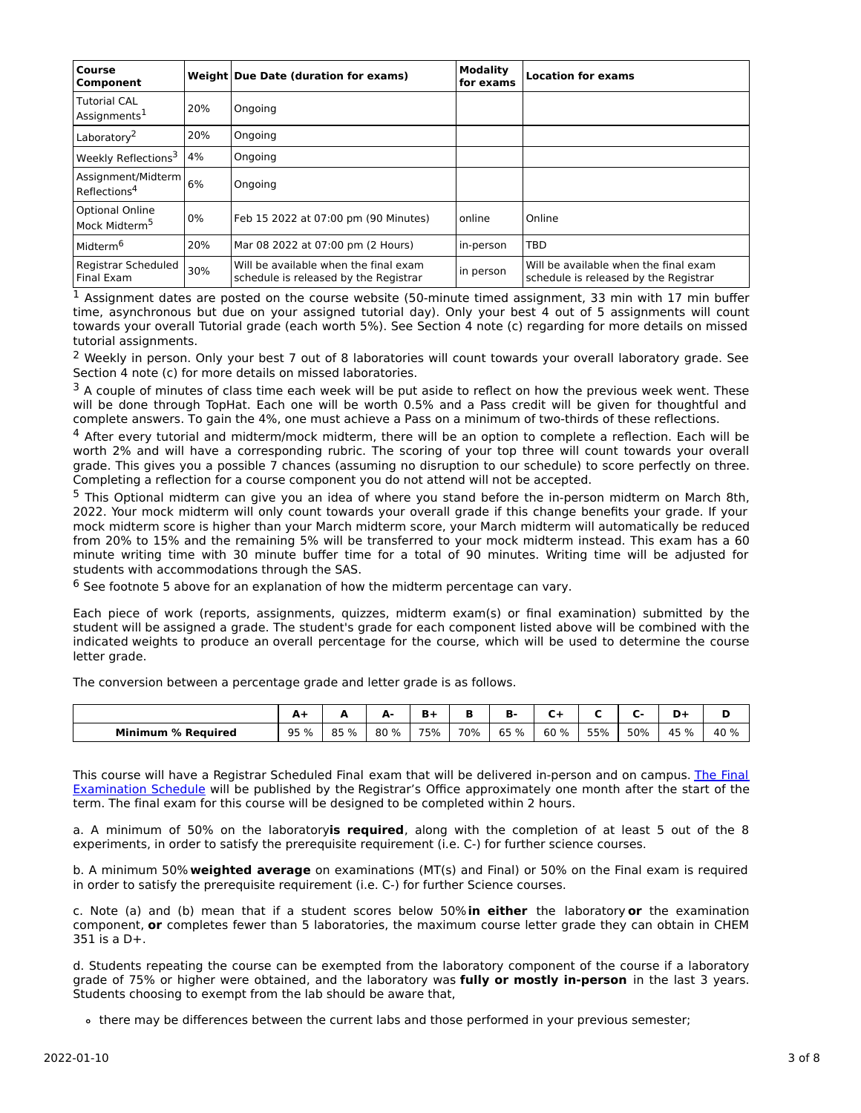| Course<br><b>Component</b>                          |     | Weight Due Date (duration for exams)                                           | Modality<br>for exams | <b>Location for exams</b>                                                      |
|-----------------------------------------------------|-----|--------------------------------------------------------------------------------|-----------------------|--------------------------------------------------------------------------------|
| <b>Tutorial CAL</b><br>Assignments <sup>1</sup>     | 20% | Ongoing                                                                        |                       |                                                                                |
| Laboratory <sup>2</sup>                             | 20% | Ongoing                                                                        |                       |                                                                                |
| Weekly Reflections <sup>3</sup>                     | 4%  | Ongoing                                                                        |                       |                                                                                |
| Assignment/Midterm 6%<br>Reflections <sup>4</sup>   |     | Ongoing                                                                        |                       |                                                                                |
| <b>Optional Online</b><br>Mock Midterm <sup>5</sup> | 0%  | Feb 15 2022 at 07:00 pm (90 Minutes)                                           | online                | Online                                                                         |
| Midterm <sup>6</sup>                                | 20% | Mar 08 2022 at 07:00 pm (2 Hours)                                              | in-person             | <b>TBD</b>                                                                     |
| Registrar Scheduled<br><b>Final Exam</b>            | 30% | Will be available when the final exam<br>schedule is released by the Registrar | in person             | Will be available when the final exam<br>schedule is released by the Registrar |

 $<sup>1</sup>$  Assignment dates are posted on the course website (50-minute timed assignment, 33 min with 17 min buffer</sup> time, asynchronous but due on your assigned tutorial day). Only your best 4 out of 5 assignments will count towards your overall Tutorial grade (each worth 5%). See Section 4 note (c) regarding for more details on missed tutorial assignments.

<sup>2</sup> Weekly in person. Only your best 7 out of 8 laboratories will count towards your overall laboratory grade. See Section 4 note (c) for more details on missed laboratories.

 $3$  A couple of minutes of class time each week will be put aside to reflect on how the previous week went. These will be done through TopHat. Each one will be worth 0.5% and a Pass credit will be given for thoughtful and complete answers. To gain the 4%, one must achieve a Pass on a minimum of two-thirds of these reflections.

 $4$  After every tutorial and midterm/mock midterm, there will be an option to complete a reflection. Each will be worth 2% and will have a corresponding rubric. The scoring of your top three will count towards your overall grade. This gives you a possible 7 chances (assuming no disruption to our schedule) to score perfectly on three. Completing a reflection for a course component you do not attend will not be accepted.

<sup>5</sup> This Optional midterm can give you an idea of where you stand before the in-person midterm on March 8th, 2022. Your mock midterm will only count towards your overall grade if this change benefits your grade. If your mock midterm score is higher than your March midterm score, your March midterm will automatically be reduced from 20% to 15% and the remaining 5% will be transferred to your mock midterm instead. This exam has a 60 minute writing time with 30 minute buffer time for a total of 90 minutes. Writing time will be adjusted for students with accommodations through the SAS.

 $6$  See footnote 5 above for an explanation of how the midterm percentage can vary.

Each piece of work (reports, assignments, quizzes, midterm exam(s) or final examination) submitted by the student will be assigned a grade. The student's grade for each component listed above will be combined with the indicated weights to produce an overall percentage for the course, which will be used to determine the course letter grade.

The conversion between a percentage grade and letter grade is as follows.

|                           | л<br>. . | --   | . .  | ъ.<br>- |     | в.   |      |     |     |         |      |
|---------------------------|----------|------|------|---------|-----|------|------|-----|-----|---------|------|
| <b>Minimum % Required</b> | 95 %     | 85 % | 80 % | 75%     | 70% | 65 % | 60 % | 55% | 50% | 45<br>% | 40 % |

This course will have a Registrar Scheduled Final exam that will be delivered in-person and on campus. The Final Examination Schedule will be published by the Registrar's Office [approximately](https://www.ucalgary.ca/registrar/exams) one month after the start of the term. The final exam for this course will be designed to be completed within 2 hours.

a. A minimum of 50% on the laboratory**is required**, along with the completion of at least 5 out of the 8 experiments, in order to satisfy the prerequisite requirement (i.e. C-) for further science courses.

b. A minimum 50% **weighted average** on examinations (MT(s) and Final) or 50% on the Final exam is required in order to satisfy the prerequisite requirement (i.e. C-) for further Science courses.

c. Note (a) and (b) mean that if a student scores below 50%**in either** the laboratory **or** the examination component, **or** completes fewer than 5 laboratories, the maximum course letter grade they can obtain in CHEM  $351$  is a D+.

d. Students repeating the course can be exempted from the laboratory component of the course if a laboratory grade of 75% or higher were obtained, and the laboratory was **fully or mostly in-person** in the last 3 years. Students choosing to exempt from the lab should be aware that,

there may be differences between the current labs and those performed in your previous semester;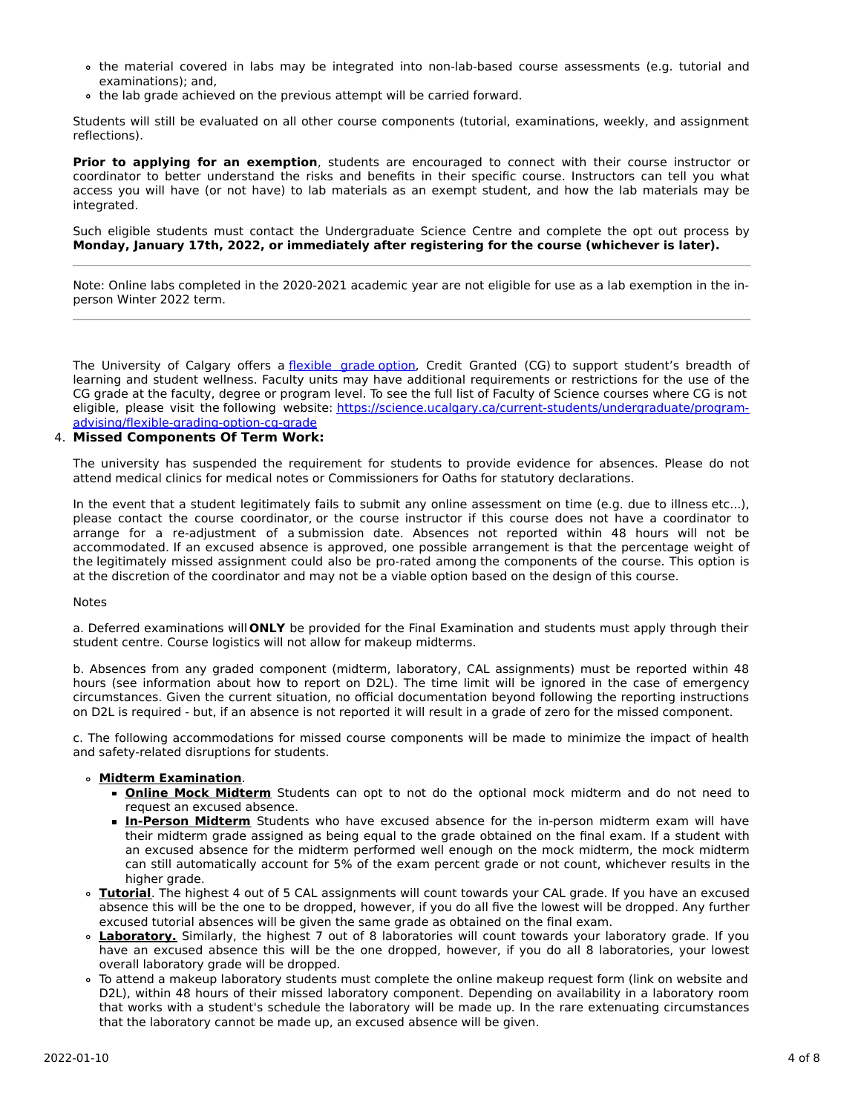- the material covered in labs may be integrated into non-lab-based course assessments (e.g. tutorial and examinations); and,
- the lab grade achieved on the previous attempt will be carried forward.

Students will still be evaluated on all other course components (tutorial, examinations, weekly, and assignment reflections).

**Prior to applying for an exemption**, students are encouraged to connect with their course instructor or coordinator to better understand the risks and benefits in their specific course. Instructors can tell you what access you will have (or not have) to lab materials as an exempt student, and how the lab materials may be integrated.

Such eligible students must contact the Undergraduate Science Centre and complete the opt out process by **Monday, January 17th, 2022, or immediately after registering for the course (whichever is later).**

Note: Online labs completed in the 2020-2021 academic year are not eligible for use as a lab exemption in the inperson Winter 2022 term.

The University of Calgary offers a [flexible](https://www.ucalgary.ca/pubs/calendar/current/f-1-3.html) grade option, Credit Granted (CG) to support student's breadth of learning and student wellness. Faculty units may have additional requirements or restrictions for the use of the CG grade at the faculty, degree or program level. To see the full list of Faculty of Science courses where CG is not eligible, please visit the following website: [https://science.ucalgary.ca/current-students/undergraduate/program](https://science.ucalgary.ca/current-students/undergraduate/program-advising/flexible-grading-option-cg-grade)advising/flexible-grading-option-cg-grade

### 4. **Missed Components Of Term Work:**

The university has suspended the requirement for students to provide evidence for absences. Please do not attend medical clinics for medical notes or Commissioners for Oaths for statutory declarations.

In the event that a student legitimately fails to submit any online assessment on time (e.g. due to illness etc...), please contact the course coordinator, or the course instructor if this course does not have a coordinator to arrange for a re-adjustment of a submission date. Absences not reported within 48 hours will not be accommodated. If an excused absence is approved, one possible arrangement is that the percentage weight of the legitimately missed assignment could also be pro-rated among the components of the course. This option is at the discretion of the coordinator and may not be a viable option based on the design of this course.

### Notes

a. Deferred examinations will **ONLY** be provided for the Final Examination and students must apply through their student centre. Course logistics will not allow for makeup midterms.

b. Absences from any graded component (midterm, laboratory, CAL assignments) must be reported within 48 hours (see information about how to report on D2L). The time limit will be ignored in the case of emergency circumstances. Given the current situation, no official documentation beyond following the reporting instructions on D2L is required - but, if an absence is not reported it will result in a grade of zero for the missed component.

c. The following accommodations for missed course components will be made to minimize the impact of health and safety-related disruptions for students.

#### **Midterm Examination**.

- **Online Mock Midterm** Students can opt to not do the optional mock midterm and do not need to request an excused absence.
- **In-Person Midterm** Students who have excused absence for the in-person midterm exam will have their midterm grade assigned as being equal to the grade obtained on the final exam. If a student with an excused absence for the midterm performed well enough on the mock midterm, the mock midterm can still automatically account for 5% of the exam percent grade or not count, whichever results in the higher grade.
- **Tutorial**. The highest 4 out of 5 CAL assignments will count towards your CAL grade. If you have an excused absence this will be the one to be dropped, however, if you do all five the lowest will be dropped. Any further excused tutorial absences will be given the same grade as obtained on the final exam.
- **Laboratory.** Similarly, the highest 7 out of 8 laboratories will count towards your laboratory grade. If you have an excused absence this will be the one dropped, however, if you do all 8 laboratories, your lowest overall laboratory grade will be dropped.
- To attend a makeup laboratory students must complete the online makeup request form (link on website and D2L), within 48 hours of their missed laboratory component. Depending on availability in a laboratory room that works with a student's schedule the laboratory will be made up. In the rare extenuating circumstances that the laboratory cannot be made up, an excused absence will be given.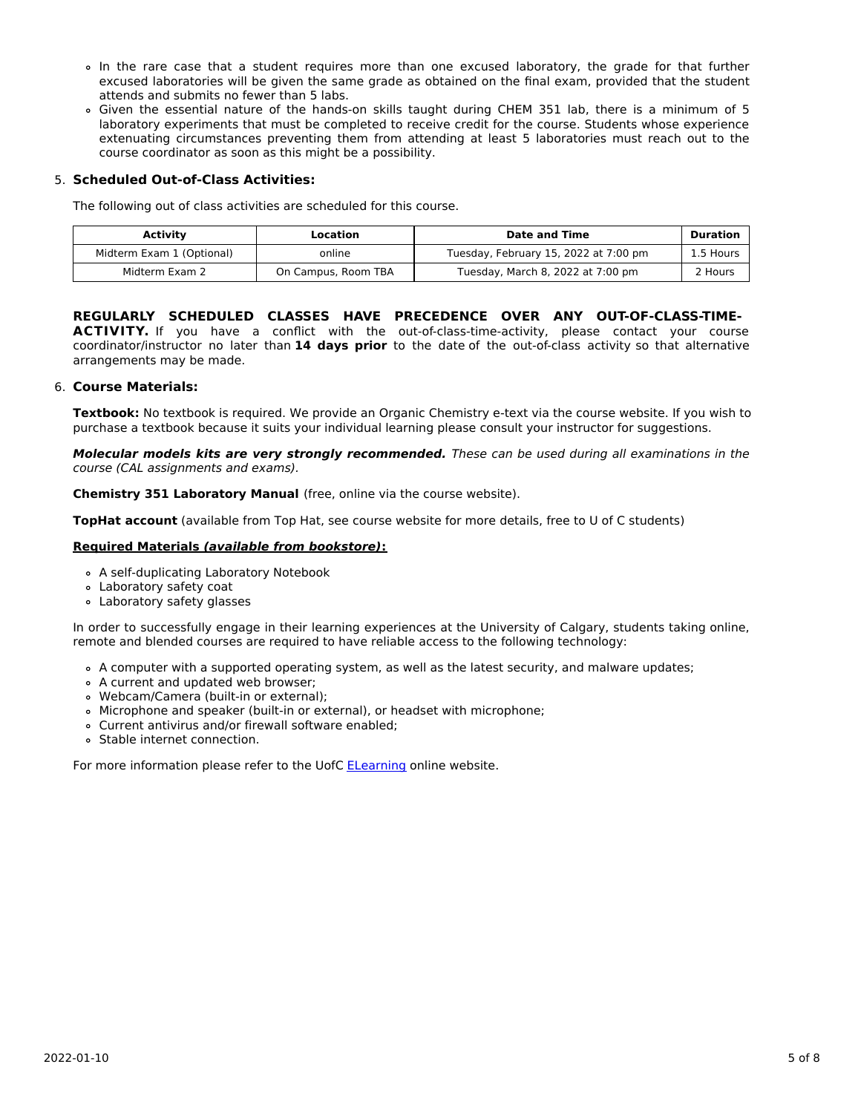- In the rare case that a student requires more than one excused laboratory, the grade for that further excused laboratories will be given the same grade as obtained on the final exam, provided that the student attends and submits no fewer than 5 labs.
- Given the essential nature of the hands-on skills taught during CHEM 351 lab, there is a minimum of 5 laboratory experiments that must be completed to receive credit for the course. Students whose experience extenuating circumstances preventing them from attending at least 5 laboratories must reach out to the course coordinator as soon as this might be a possibility.

# 5. **Scheduled Out-of-Class Activities:**

The following out of class activities are scheduled for this course.

| <b>Activity</b>           | Location            | <b>Date and Time</b>                  | <b>Duration</b> |
|---------------------------|---------------------|---------------------------------------|-----------------|
| Midterm Exam 1 (Optional) | online              | Tuesday, February 15, 2022 at 7:00 pm | 1.5 Hours       |
| Midterm Exam 2            | On Campus, Room TBA | Tuesday, March 8, 2022 at 7:00 pm     | 2 Hours         |

# **REGULARLY SCHEDULED CLASSES HAVE PRECEDENCE OVER ANY OUT-OF-CLASS-TIME-**

ACTIVITY. If you have a conflict with the out-of-class-time-activity, please contact your course coordinator/instructor no later than **14 days prior** to the date of the out-of-class activity so that alternative arrangements may be made.

## 6. **Course Materials:**

**Textbook:** No textbook is required. We provide an Organic Chemistry e-text via the course website. If you wish to purchase a textbook because it suits your individual learning please consult your instructor for suggestions.

**Molecular models kits are very strongly recommended.** These can be used during all examinations in the course (CAL assignments and exams).

**Chemistry 351 Laboratory Manual** (free, online via the course website).

**TopHat account** (available from Top Hat, see course website for more details, free to U of C students)

## **Required Materials (available from bookstore):**

- A self-duplicating Laboratory Notebook
- Laboratory safety coat
- Laboratory safety glasses

In order to successfully engage in their learning experiences at the University of Calgary, students taking online, remote and blended courses are required to have reliable access to the following technology:

- A computer with a supported operating system, as well as the latest security, and malware updates;
- A current and updated web browser;
- Webcam/Camera (built-in or external);
- Microphone and speaker (built-in or external), or headset with microphone;
- Current antivirus and/or firewall software enabled;
- Stable internet connection.

For more information please refer to the UofC [ELearning](https://elearn.ucalgary.ca/technology-requirements-for-students) online website.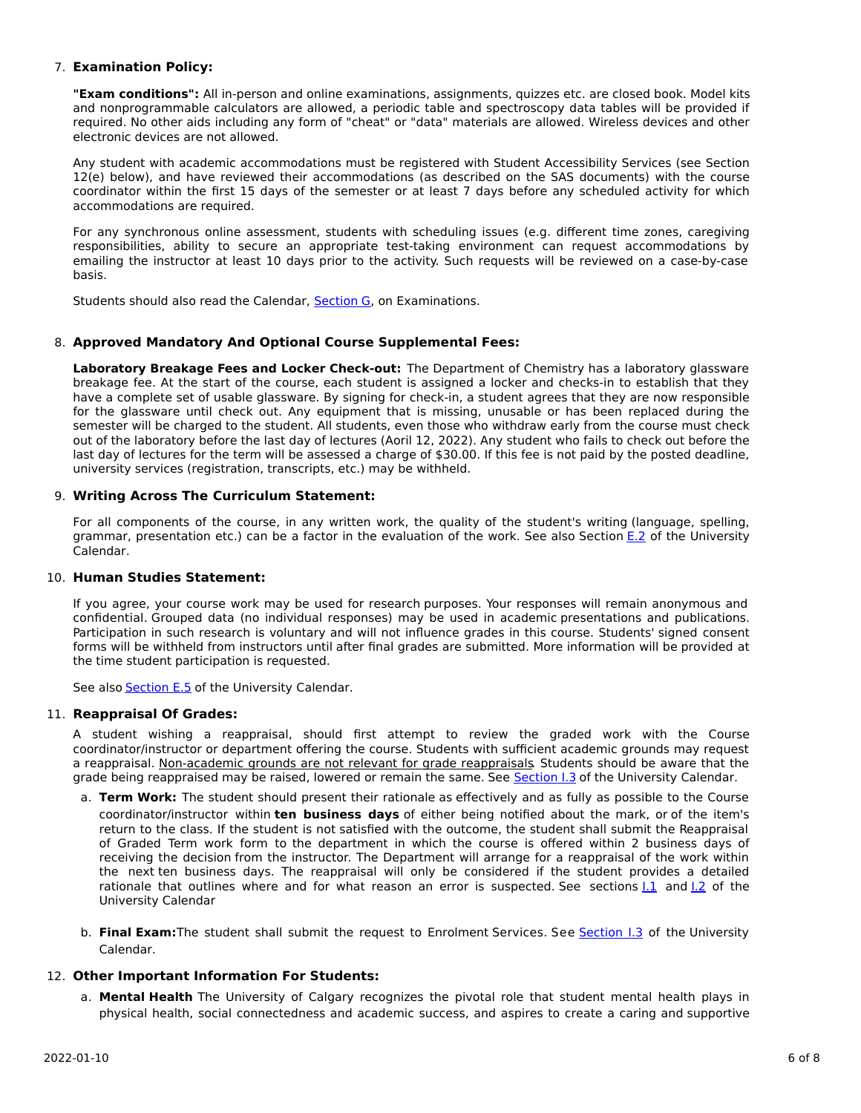## 7. **Examination Policy:**

**"Exam conditions":** All in-person and online examinations, assignments, quizzes etc. are closed book. Model kits and nonprogrammable calculators are allowed, a periodic table and spectroscopy data tables will be provided if required. No other aids including any form of "cheat" or "data" materials are allowed. Wireless devices and other electronic devices are not allowed.

Any student with academic accommodations must be registered with Student Accessibility Services (see Section 12(e) below), and have reviewed their accommodations (as described on the SAS documents) with the course coordinator within the first 15 days of the semester or at least 7 days before any scheduled activity for which accommodations are required.

For any synchronous online assessment, students with scheduling issues (e.g. different time zones, caregiving responsibilities, ability to secure an appropriate test-taking environment can request accommodations by emailing the instructor at least 10 days prior to the activity. Such requests will be reviewed on a case-by-case basis.

Students should also read the Calendar, [Section](http://www.ucalgary.ca/pubs/calendar/current/g.html) G, on Examinations.

# 8. **Approved Mandatory And Optional Course Supplemental Fees:**

**Laboratory Breakage Fees and Locker Check-out:** The Department of Chemistry has a laboratory glassware breakage fee. At the start of the course, each student is assigned a locker and checks-in to establish that they have a complete set of usable glassware. By signing for check-in, a student agrees that they are now responsible for the glassware until check out. Any equipment that is missing, unusable or has been replaced during the semester will be charged to the student. All students, even those who withdraw early from the course must check out of the laboratory before the last day of lectures (Aoril 12, 2022). Any student who fails to check out before the last day of lectures for the term will be assessed a charge of \$30.00. If this fee is not paid by the posted deadline, university services (registration, transcripts, etc.) may be withheld.

## 9. **Writing Across The Curriculum Statement:**

For all components of the course, in any written work, the quality of the student's writing (language, spelling, grammar, presentation etc.) can be a factor in the evaluation of the work. See also Section [E.2](http://www.ucalgary.ca/pubs/calendar/current/e-2.html) of the University Calendar.

# 10. **Human Studies Statement:**

If you agree, your course work may be used for research purposes. Your responses will remain anonymous and confidential. Grouped data (no individual responses) may be used in academic presentations and publications. Participation in such research is voluntary and will not influence grades in this course. Students' signed consent forms will be withheld from instructors until after final grades are submitted. More information will be provided at the time student participation is requested.

See also **[Section](http://www.ucalgary.ca/pubs/calendar/current/e-5.html) E.5** of the University Calendar.

## 11. **Reappraisal Of Grades:**

A student wishing a reappraisal, should first attempt to review the graded work with the Course coordinator/instructor or department offering the course. Students with sufficient academic grounds may request a reappraisal. Non-academic grounds are not relevant for grade reappraisals. Students should be aware that the grade being reappraised may be raised, lowered or remain the same. See [Section](http://www.ucalgary.ca/pubs/calendar/current/i-3.html) I.3 of the University Calendar.

- a. **Term Work:** The student should present their rationale as effectively and as fully as possible to the Course coordinator/instructor within **ten business days** of either being notified about the mark, or of the item's return to the class. If the student is not satisfied with the outcome, the student shall submit the Reappraisal of Graded Term work form to the department in which the course is offered within 2 business days of receiving the decision from the instructor. The Department will arrange for a reappraisal of the work within the next ten business days. The reappraisal will only be considered if the student provides a detailed rationale that outlines where and for what reason an error is suspected. See sections 1.1 and 1.2 of the University Calendar
- b. **Final Exam:**The student shall submit the request to Enrolment Services. See [Section](http://www.ucalgary.ca/pubs/calendar/current/i-3.html) I.3 of the University Calendar.

## 12. **Other Important Information For Students:**

a. **Mental Health** The University of Calgary recognizes the pivotal role that student mental health plays in physical health, social connectedness and academic success, and aspires to create a caring and supportive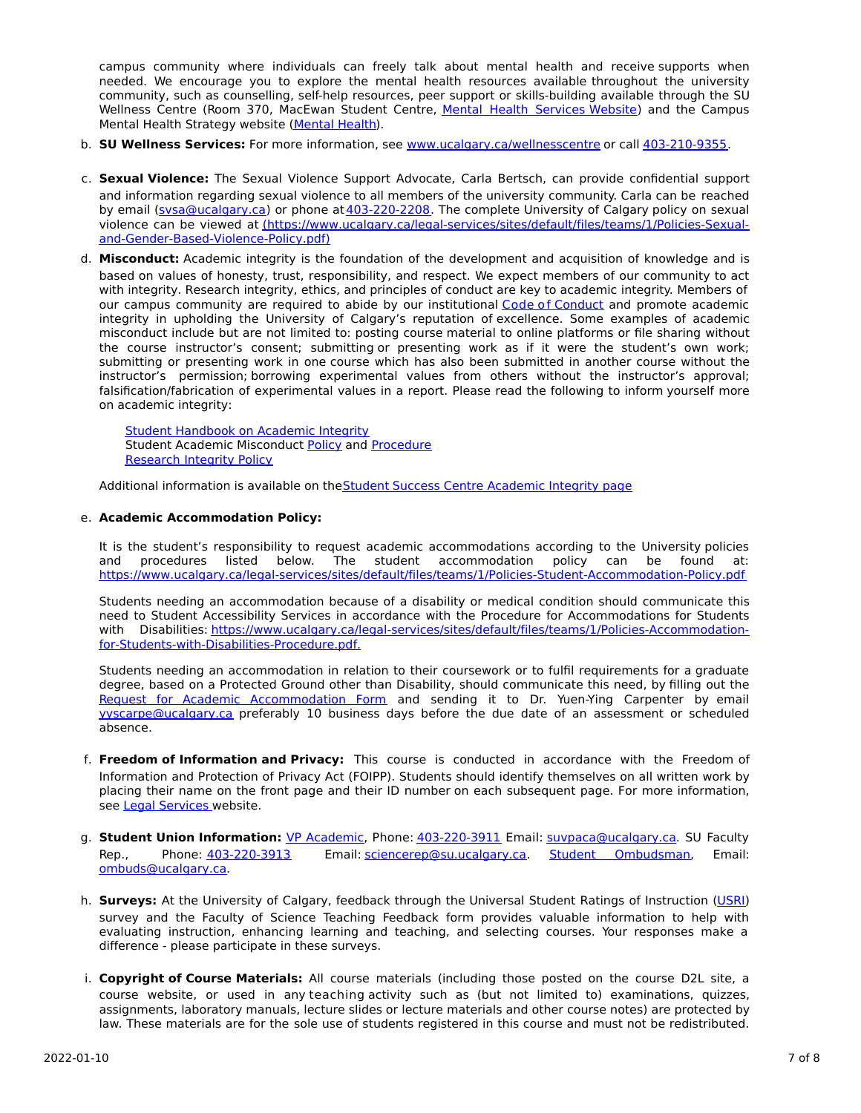campus community where individuals can freely talk about mental health and receive supports when needed. We encourage you to explore the mental health resources available throughout the university community, such as counselling, self-help resources, peer support or skills-building available through the SU Wellness Centre (Room 370, MacEwan Student Centre, Mental Health [Services](https://www.ucalgary.ca/wellnesscentre/services/mental-health-services) Website) and the Campus Mental Health Strategy website [\(Mental](http://www.ucalgary.ca/mentalhealth) Health).

- b. **SU Wellness Services:** For more information, see [www.ucalgary.ca/wellnesscentre](http://www.ucalgary.ca/wellnesscentre) or call [403-210-9355.](tel:4032109355)
- c. **Sexual Violence:** The Sexual Violence Support Advocate, Carla Bertsch, can provide confidential support and information regarding sexual violence to all members of the university community. Carla can be reached by email [\(svsa@ucalgary.ca](mailto:svsa@ucalgary.ca)) or phone at [403-220-2208](tel:4032202208). The complete University of Calgary policy on sexual violence can be viewed at [\(https://www.ucalgary.ca/legal-services/sites/default/files/teams/1/Policies-Sexual](https://www.ucalgary.ca/legal-services/sites/default/files/teams/1/Policies-Sexual-and-Gender-Based-Violence-Policy.pdf)and-Gender-Based-Violence-Policy.pdf)
- d. **Misconduct:** Academic integrity is the foundation of the development and acquisition of knowledge and is based on values of honesty, trust, responsibility, and respect. We expect members of our community to act with integrity. Research integrity, ethics, and principles of conduct are key to academic integrity. Members of our campus community are required to abide by our institutional Code of [Conduct](https://www.ucalgary.ca/legal-services/sites/default/files/teams/1/Policies-Code-of-Conduct.pdf) and promote academic integrity in upholding the University of Calgary's reputation of excellence. Some examples of academic misconduct include but are not limited to: posting course material to online platforms or file sharing without the course instructor's consent; submitting or presenting work as if it were the student's own work; submitting or presenting work in one course which has also been submitted in another course without the instructor's permission; borrowing experimental values from others without the instructor's approval; falsification/fabrication of experimental values in a report. Please read the following to inform yourself more on academic integrity:

Student [Handbook](https://www.ucalgary.ca/live-uc-ucalgary-site/sites/default/files/teams/9/AI-Student-handbook-1.pdf) on Academic Integrity Student Academic Misconduct [Policy](https://www.ucalgary.ca/legal-services/sites/default/files/teams/1/Policies-Student-Academic-Misconduct-Policy.pdf) and [Procedure](https://www.ucalgary.ca/legal-services/sites/default/files/teams/1/Policies-Student-Academic-Misconduct-Procedure.pdf) [Research](https://www.ucalgary.ca/legal-services/sites/default/files/teams/1/Policies-Research-Integrity-Policy.pdf) Integrity Policy

Additional information is available on the Student Success Centre [Academic](https://ucalgary.ca/student-services/student-success/learning/academic-integrity) Integrity page

# e. **Academic Accommodation Policy:**

It is the student's responsibility to request academic accommodations according to the University policies and procedures listed below. The student accommodation policy can be found at: <https://www.ucalgary.ca/legal-services/sites/default/files/teams/1/Policies-Student-Accommodation-Policy.pdf>

Students needing an accommodation because of a disability or medical condition should communicate this need to Student Accessibility Services in accordance with the Procedure for Accommodations for Students with Disabilities: [https://www.ucalgary.ca/legal-services/sites/default/files/teams/1/Policies-Accommodation](https://www.ucalgary.ca/legal-services/sites/default/files/teams/1/Policies-Accommodation-for-Students-with-Disabilities-Procedure.pdf)for-Students-with-Disabilities-Procedure.pdf.

Students needing an accommodation in relation to their coursework or to fulfil requirements for a graduate degree, based on a Protected Ground other than Disability, should communicate this need, by filling out the Request for Academic [Accommodation](https://science.ucalgary.ca/sites/default/files/teams/1/request-accommodation-academic-courses.pdf) Form and sending it to Dr. Yuen-Ying Carpenter by email [yyscarpe@ucalgary.ca](mailto:yyscarpe@ucalgary.ca) preferably 10 business days before the due date of an assessment or scheduled absence.

- f. **Freedom of Information and Privacy:** This course is conducted in accordance with the Freedom of Information and Protection of Privacy Act (FOIPP). Students should identify themselves on all written work by placing their name on the front page and their ID number on each subsequent page. For more information, see Legal [Services](https://www.ucalgary.ca/legal-services/access-information-privacy) website.
- g. **Student Union Information:** VP [Academic](http://www.su.ucalgary.ca/contact), Phone: [403-220-3911](tel:4032203911) Email: [suvpaca@ucalgary.ca](mailto:suvpaca@ucalgary.ca). SU Faculty Rep., Phone: [403-220-3913](tel:4032203913) Email: [sciencerep@su.ucalgary.ca](mailto:sciencerep@su.ucalgary.ca). Student [Ombudsman](https://www.ucalgary.ca/ombuds/), Email: [ombuds@ucalgary.ca](mailto:%20ombuds@ucalgary.ca).
- h. **Surveys:** At the University of Calgary, feedback through the Universal Student Ratings of Instruction [\(USRI](http://www.ucalgary.ca/usri)) survey and the Faculty of Science Teaching Feedback form provides valuable information to help with evaluating instruction, enhancing learning and teaching, and selecting courses. Your responses make a difference - please participate in these surveys.
- i. **Copyright of Course Materials:** All course materials (including those posted on the course D2L site, a course website, or used in any teaching activity such as (but not limited to) examinations, quizzes, assignments, laboratory manuals, lecture slides or lecture materials and other course notes) are protected by law. These materials are for the sole use of students registered in this course and must not be redistributed.